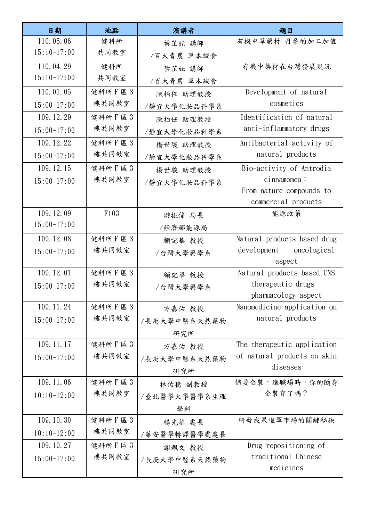| 日期            | 地點              | 演講者          | 題目                                              |
|---------------|-----------------|--------------|-------------------------------------------------|
| 110.05.06     | 健科所             | 葉芷妘 講師       | 有機中草藥材-丹參的加工加值                                  |
| $15:10-17:00$ | 共同教室            | /百大青農 草本誠食   |                                                 |
| 110.04.29     | 健科所             | 葉芷妘 講師       | 有機中藥材在台灣發展現況                                    |
| $15:10-17:00$ | 共同教室            | /百大青農 草本誠食   |                                                 |
| 110.01.05     | 健科所F區3          | 陳柏任 助理教授     | Development of natural                          |
| $15:00-17:00$ | 樓共同教室           | /靜宜大學化妝品科學系  | cosmetics                                       |
| 109.12.29     | 健科所F區3          | 陳柏任 助理教授     | Identification of natural                       |
| $15:00-17:00$ | 樓共同教室           | /靜宜大學化妝品科學系  | anti-inflammatory drugs                         |
| 109.12.22     | 健科所F區3          | 楊世駿 助理教授     | Antibacterial activity of                       |
| $15:00-17:00$ | 樓共同教室           | /靜宜大學化妝品科學系  | natural products                                |
| 109.12.15     | 健科所F區3          | 楊世駿 助理教授     | Bio-activity of Antrodia                        |
| $15:00-17:00$ | 樓共同教室           | /靜宜大學化妝品科學系  | cinnamomea:                                     |
|               |                 |              | From nature compounds to                        |
|               |                 |              | commercial products                             |
| 109.12.09     | F103            | 游振偉 局長       | 能源政策                                            |
| $15:00-17:00$ |                 | /經濟部能源局      |                                                 |
| 109.12.08     | 健科所F區3          | 顧記華 教授       | Natural products based drug                     |
| $15:00-17:00$ | 樓共同教室           | /台灣大學藥學系     | $development - oncological$                     |
|               |                 |              | aspect                                          |
| 109.12.01     | 健科所F區3          | 顧記華 教授       | Natural products based CNS                      |
| $15:00-17:00$ | 樓共同教室           | /台灣大學藥學系     | therapeutic drugs -                             |
|               |                 |              | pharmacology aspect                             |
| 109.11.24     | 健科所F區3<br>樓共同教室 | 方嘉佑 教授       | Nanomedicine application on<br>natural products |
| $15:00-17:00$ |                 | /長庚大學中醫系天然藥物 |                                                 |
|               |                 | 研究所          |                                                 |
| 109.11.17     | 健科所F區3          | 方嘉佑 教授       | The therapeutic application                     |
| $15:00-17:00$ | 樓共同教室           | /長庚大學中醫系天然藥物 | of natural products on skin                     |
|               |                 | 研究所          | diseases                                        |
| 109.11.06     | 健科所 F 區 3       | 林佑穗 副教授      | 佛要金裝,進職場時,你的隨身                                  |
| $10:10-12:00$ | 樓共同教室           | /臺北醫學大學醫學系生理 | 金裝穿了嗎?                                          |
|               |                 | 學科           |                                                 |
| 109.10.30     | 健科所F區3          | 楊光華 處長       | 研發成果進軍市場的關鍵秘訣                                   |
| $10:10-12:00$ | 樓共同教室           | /華安醫學轉譯醫學處處長 |                                                 |
| 109.10.27     | 健科所 F 區 3       | 謝珮文 教授       | Drug repositioning of                           |
| $15:00-17:00$ | 樓共同教室           | /長庚大學中醫系天然藥物 | traditional Chinese                             |
|               |                 | 研究所          | medicines                                       |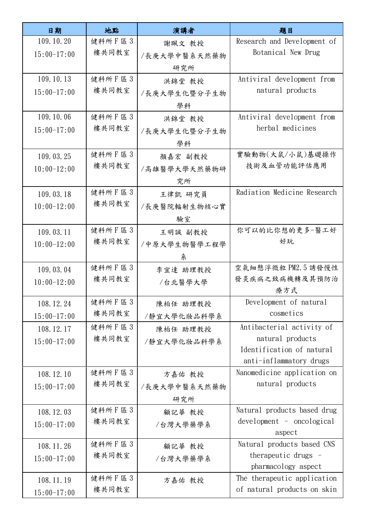| 日期            | 地點        | 演講者          | 題目                                            |
|---------------|-----------|--------------|-----------------------------------------------|
| 109.10.20     | 健科所 F 區 3 | 謝珮文 教授       | Research and Development of                   |
| $15:00-17:00$ | 樓共同教室     | /長庚大學中醫系天然藥物 | Botanical New Drug                            |
|               |           | 研究所          |                                               |
| 109.10.13     | 健科所F區3    | 洪錦堂 教授       | Antiviral development from                    |
| $15:00-17:00$ | 樓共同教室     | /長庚大學生化暨分子生物 | natural products                              |
|               |           | 學科           |                                               |
| 109.10.06     | 健科所F區3    | 洪錦堂 教授       | Antiviral development from                    |
| $15:00-17:00$ | 樓共同教室     | /長庚大學生化暨分子生物 | herbal medicines                              |
|               |           | 學科           |                                               |
| 109.03.25     | 健科所F區3    | 顏嘉宏 副教授      | 實驗動物(大鼠/小鼠)基礎操作                               |
| $10:00-12:00$ | 樓共同教室     | /高雄醫學大學天然藥物研 | 技術及血管功能評估應用                                   |
|               |           | 究所           |                                               |
| 109.03.18     | 健科所F區3    | 王律凱 研究員      | Radiation Medicine Research                   |
| $10:00-12:00$ | 樓共同教室     | /長庚醫院輻射生物核心實 |                                               |
|               |           | 驗室           |                                               |
| 109.03.11     | 健科所F區3    | 王明誠 副教授      | 你可以的比你想的更多-醫工好                                |
| $10:00-12:00$ | 樓共同教室     | /中原大學生物醫學工程學 | 好玩                                            |
|               |           | 糸            |                                               |
| 109.03.04     | 健科所 F 區 3 | 李宜達 助理教授     | 空氣細懸浮微粒 PM2.5 誘發慢性                            |
| $10:00-12:00$ | 樓共同教室     | /台北醫學大學      | 發炎疾病之致病機轉及其預防治                                |
|               |           |              | 療方式                                           |
| 108.12.24     | 健科所 F 區 3 | 陳柏任 助理教授     | Development of natural<br>cosmetics           |
| $15:00-17:00$ | 樓共同教室     | /靜宜大學化妝品科學系  |                                               |
| 108.12.17     | 健科所F區3    | 陳柏任 助理教授     | Antibacterial activity of                     |
| $15:00-17:00$ | 樓共同教室     | /靜宜大學化妝品科學系  | natural products<br>Identification of natural |
|               |           |              | anti-inflammatory drugs                       |
| 108.12.10     | 健科所 F 區 3 | 方嘉佑 教授       | Nanomedicine application on                   |
| $15:00-17:00$ | 樓共同教室     | /長庚大學中醫系天然藥物 | natural products                              |
|               |           | 研究所          |                                               |
| 108.12.03     | 健科所F區3    | 顧記華 教授       | Natural products based drug                   |
| $15:00-17:00$ | 樓共同教室     | /台灣大學藥學系     | development - oncological                     |
|               |           |              | aspect                                        |
| 108.11.26     | 健科所F區3    | 顧記華 教授       | Natural products based CNS                    |
| $15:00-17:00$ | 樓共同教室     | /台灣大學藥學系     | therapeutic drugs -                           |
|               |           |              | pharmacology aspect                           |
| 108.11.19     | 健科所F區3    | 方嘉佑 教授       | The therapeutic application                   |
| $15:00-17:00$ | 樓共同教室     |              | of natural products on skin                   |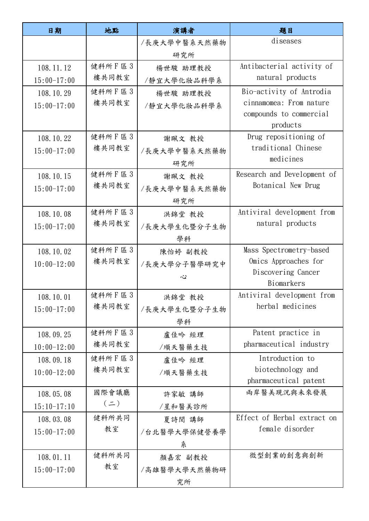| 日期            | 地點                 | 演講者          | 題目                                                |
|---------------|--------------------|--------------|---------------------------------------------------|
|               |                    | /長庚大學中醫系天然藥物 | diseases                                          |
|               |                    | 研究所          |                                                   |
| 108.11.12     | 健科所F區3             | 楊世駿 助理教授     | Antibacterial activity of                         |
| $15:00-17:00$ | 樓共同教室              | /靜宜大學化妝品科學系  | natural products                                  |
| 108.10.29     | 健科所F區3             | 楊世駿 助理教授     | Bio-activity of Antrodia                          |
| $15:00-17:00$ | 樓共同教室              | /靜宜大學化妝品科學系  | cinnamomea: From nature                           |
|               |                    |              | compounds to commercial                           |
|               |                    |              | products                                          |
| 108.10.22     | 健科所 F 區 3<br>樓共同教室 | 謝珮文 教授       | Drug repositioning of<br>traditional Chinese      |
| $15:00-17:00$ |                    | /長庚大學中醫系天然藥物 | medicines                                         |
|               |                    | 研究所          |                                                   |
| 108.10.15     | 健科所 F 區 3<br>樓共同教室 | 謝珮文 教授       | Research and Development of<br>Botanical New Drug |
| $15:00-17:00$ |                    | /長庚大學中醫系天然藥物 |                                                   |
|               |                    | 研究所          |                                                   |
| 108.10.08     | 健科所F區3             | 洪錦堂 教授       | Antiviral development from                        |
| $15:00-17:00$ | 樓共同教室              | /長庚大學生化暨分子生物 | natural products                                  |
|               |                    | 學科           |                                                   |
| 108.10.02     | 健科所F區3             | 陳怡婷 副教授      | Mass Spectrometry-based                           |
| $10:00-12:00$ | 樓共同教室              | /長庚大學分子醫學研究中 | Omics Approaches for<br>Discovering Cancer        |
|               |                    | 心            | Biomarkers                                        |
| 108.10.01     | 健科所F區3             | 洪錦堂 教授       | Antiviral development from                        |
| $15:00-17:00$ | 樓共同教室              | /長庚大學生化暨分子生物 | herbal medicines                                  |
|               |                    | 學科           |                                                   |
| 108.09.25     | 健科所 F 區 3          | 盧佳吟 經理       | Patent practice in                                |
| $10:00-12:00$ | 樓共同教室              | /順天醫藥生技      | pharmaceutical industry                           |
| 108.09.18     | 健科所 F 區 3          | 盧佳吟 經理       | Introduction to                                   |
| $10:00-12:00$ | 樓共同教室              | /順天醫藥生技      | biotechnology and                                 |
|               |                    |              | pharmaceutical patent                             |
| 108.05.08     | 國際會議廳              | 許家敏 講師       | 兩岸醫美現況與未來發展                                       |
| $15:10-17:10$ | $(\equiv)$         | /星和醫美診所      |                                                   |
| 108.03.08     | 健科所共同              | 夏詩閔 講師       | Effect of Herbal extract on                       |
| $15:00-17:00$ | 教室                 | /台北醫學大學保健營養學 | female disorder                                   |
|               |                    | 糸            |                                                   |
| 108.01.11     | 健科所共同              | 顏嘉宏 副教授      | 微型創業的創意與創新                                        |
| $15:00-17:00$ | 教室                 | /高雄醫學大學天然藥物研 |                                                   |
|               |                    | 究所           |                                                   |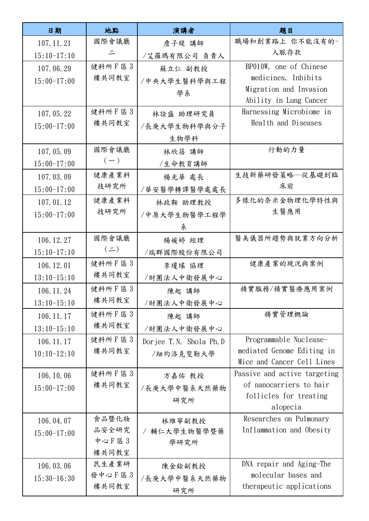| 職場和創業路上 你不能沒有的-<br>國際會議廳<br>107.11.21<br>詹子緹 講師                             |  |
|-----------------------------------------------------------------------------|--|
| 人脈存款<br>드<br>$15:10-17:10$<br>/艾羅瑪有限公司 負責人                                  |  |
| 健科所F區3<br>BP010W, one of Chinese<br>107.06.29<br>蘇立仁 副教授                    |  |
| 樓共同教室<br>medicines, Inhibits<br>$15:00-17:00$<br>/中央大學生醫科學與工程               |  |
| Migration and Invasion<br>學系                                                |  |
| Ability in Lung Cancer                                                      |  |
| 健科所F區3<br>Harnessing Microbiome in<br>107.05.22<br>林詮盛 助理研究員                |  |
| Health and Diseases<br>樓共同教室<br>$15:00-17:00$<br>/長庚大學生物科學與分子               |  |
| 生物學科                                                                        |  |
| 國際會議廳<br>行動的力量<br>107.05.09<br>林欣蓓 講師                                       |  |
| $(-)$<br>$15:00-17:00$<br>/生命教育講師                                           |  |
| 健康產業科<br>生技新藥研發策略–從基礎到臨<br>107.03.09<br>楊光華 處長                              |  |
| 技研究所<br>床前<br>$15:00-17:00$<br>/華安醫學轉譯醫學處處長                                 |  |
| 多樣化的奈米金物理化學特性與<br>健康產業科<br>107.01.12<br>林政鞍 助理教授                            |  |
| 技研究所<br>生醫應用<br>$15:00-17:00$<br>/中原大學生物醫學工程學                               |  |
| 糸                                                                           |  |
| 國際會議廳<br>醫美儀器所趨勢與就業方向分析<br>106.12.27<br>楊媛婷 經理                              |  |
| $(\equiv)$<br>$15:10-17:10$<br>/瑞群國際股份有限公司                                  |  |
| 健科所F區3<br>健康產業的現況與案例<br>106.12.01<br>李瓊瑤 協理                                 |  |
| 樓共同教室<br>$13:10-15:10$<br>/財團法人中衛發展中心                                       |  |
| 健科所 F 區 3<br>精實服務/精實醫療應用案例<br>106.11.24<br>陳起 講師                            |  |
| 樓共同教室<br>$13:10-15:10$<br>/財團法人中衛發展中心                                       |  |
| 健科所F區3<br>精實管理概論<br>106.11.17<br>陳起 講師                                      |  |
| 樓共同教室<br>$13:10-15:10$<br>/財團法人中衛發展中心                                       |  |
| 健科所F區3<br>Programmable Nuclease-<br>106.11.17<br>Dorjee T.N. Shola Ph.D     |  |
| 樓共同教室<br>mediated Genome Editing in<br>$10:10-12:10$<br>/紐約洛克斐勒大學           |  |
| Mice and Cancer Cell Lines                                                  |  |
| 健科所 F 區 3<br>Passive and active targeting<br>106.10.06<br>方嘉佑 教授            |  |
| of nanocarriers to hair<br>樓共同教室<br>$15:00-17:00$<br>/長庚大學中醫系天然藥物           |  |
| follicles for treating<br>研究所                                               |  |
| alopecia                                                                    |  |
| Researches on Pulmonary<br>食品暨化妝<br>106.04.07<br>林維寧副教授                     |  |
| Inflammation and Obesity<br>品安全研究<br>/ 輔仁大學生物醫學暨藥<br>$15:00-17:00$<br>中心F區3 |  |
| 學研究所<br>樓共同教室                                                               |  |
| 民生產業研<br>DNA repair and Aging-The<br>106.03.06<br>陳金銓副教授                    |  |
| 發中心F區3<br>molecular bases and<br>$15:30-16:30$<br>/長庚大學中醫系天然藥物              |  |
| 樓共同教室<br>therapeutic applications<br>研究所                                    |  |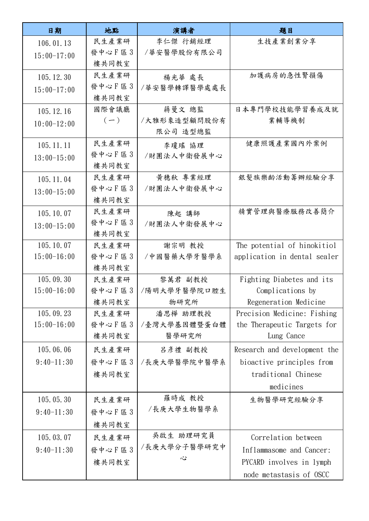| 日期            | 地點     | 演講者          | 題目                           |
|---------------|--------|--------------|------------------------------|
| 106.01.13     | 民生產業研  | 李仁傑 行銷經理     | 生技產業創業分享                     |
| $15:00-17:00$ | 發中心F區3 | /華安醫學股份有限公司  |                              |
|               | 樓共同教室  |              |                              |
| 105.12.30     | 民生產業研  | 楊光華 處長       | 加護病房的急性腎損傷                   |
| $15:00-17:00$ | 發中心F區3 | /華安醫學轉譯醫學處處長 |                              |
|               | 樓共同教室  |              |                              |
| 105.12.16     | 國際會議廳  | 蔣曼文 總監       | 日本專門學校技能學習養成及就               |
| $10:00-12:00$ | $(-)$  | /大雅形象造型顧問股份有 | 業輔導機制                        |
|               |        | 限公司 造型總監     |                              |
| 105.11.11     | 民生產業研  | 李瓊瑤 協理       | 健康照護產業國內外案例                  |
| $13:00-15:00$ | 發中心F區3 | /財團法人中衛發展中心  |                              |
|               | 樓共同教室  |              |                              |
| 105.11.04     | 民生產業研  | 黃穗秋 專業經理     | 銀髮族樂齡活動籌辦經驗分享                |
| $13:00-15:00$ | 發中心F區3 | /財團法人中衛發展中心  |                              |
|               | 樓共同教室  |              |                              |
| 105.10.07     | 民生產業研  | 陳起 講師        | 精實管理與醫療服務改善簡介                |
| $13:00-15:00$ | 發中心F區3 | /財團法人中衛發展中心  |                              |
|               | 樓共同教室  |              |                              |
| 105.10.07     | 民生產業研  | 謝宗明 教授       | The potential of hinokitiol  |
| $15:00-16:00$ | 發中心F區3 | /中國醫藥大學牙醫學系  | application in dental sealer |
|               | 樓共同教室  |              |                              |
| 105.09.30     | 民生產業研  | 黎萬君 副教授      | Fighting Diabetes and its    |
| $15:00-16:00$ | 發中心F區3 | /陽明大學牙醫學院口腔生 | Complications by             |
|               | 樓共同教室  | 物研究所         | Regeneration Medicine        |
| 105.09.23     | 民生產業研  | 潘思樺 助理教授     | Precision Medicine: Fishing  |
| $15:00-16:00$ | 發中心F區3 | /臺灣大學基因體暨蛋白體 | the Therapeutic Targets for  |
|               | 樓共同教室  | 醫學研究所        | Lung Cance                   |
| 105.06.06     | 民生產業研  | 呂彥禮 副教授      | Research and development the |
| $9:40-11:30$  | 發中心F區3 | /長庚大學醫學院中醫學系 | bioactive principles from    |
|               | 樓共同教室  |              | traditional Chinese          |
|               |        |              | medicines                    |
| 105.05.30     | 民生產業研  | 羅時成 教授       | 生物醫學研究經驗分享                   |
| $9:40-11:30$  | 發中心F區3 | /長庚大學生物醫學系   |                              |
|               | 樓共同教室  |              |                              |
| 105.03.07     | 民生產業研  | 吳啟生 助理研究員    | Correlation between          |
| $9:40-11:30$  | 發中心F區3 | /長庚大學分子醫學研究中 | Inflammasome and Cancer:     |
|               | 樓共同教室  | 心            | PYCARD involves in lymph     |
|               |        |              | node metastasis of OSCC      |